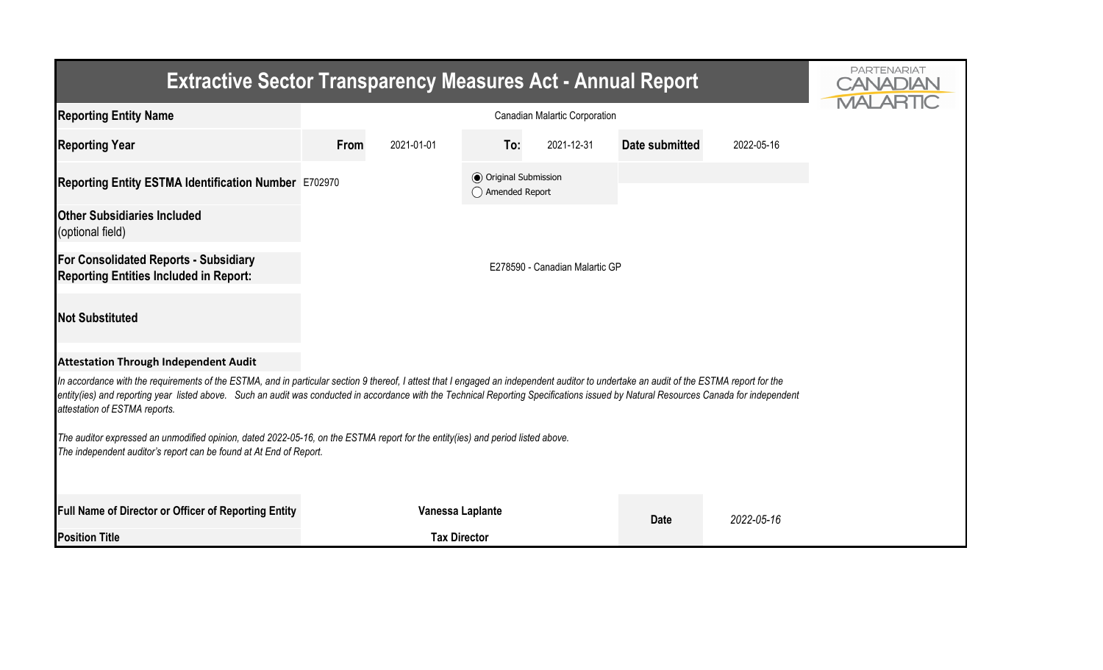| <b>Extractive Sector Transparency Measures Act - Annual Report</b>                                                                                                                                                                                                                                                                                                                                                | <b>PARTENARIAT</b><br>ANADIAN: |                     |                                                  |            |                |            |  |  |  |  |
|-------------------------------------------------------------------------------------------------------------------------------------------------------------------------------------------------------------------------------------------------------------------------------------------------------------------------------------------------------------------------------------------------------------------|--------------------------------|---------------------|--------------------------------------------------|------------|----------------|------------|--|--|--|--|
| <b>Reporting Entity Name</b>                                                                                                                                                                                                                                                                                                                                                                                      |                                |                     |                                                  |            |                |            |  |  |  |  |
| <b>Reporting Year</b>                                                                                                                                                                                                                                                                                                                                                                                             | From                           | 2021-01-01          | To:                                              | 2021-12-31 | Date submitted | 2022-05-16 |  |  |  |  |
| Reporting Entity ESTMA Identification Number E702970                                                                                                                                                                                                                                                                                                                                                              |                                |                     | <b>◎</b> Original Submission<br>◯ Amended Report |            |                |            |  |  |  |  |
| <b>Other Subsidiaries Included</b><br>(optional field)                                                                                                                                                                                                                                                                                                                                                            |                                |                     |                                                  |            |                |            |  |  |  |  |
| <b>For Consolidated Reports - Subsidiary</b><br><b>Reporting Entities Included in Report:</b>                                                                                                                                                                                                                                                                                                                     |                                |                     |                                                  |            |                |            |  |  |  |  |
| <b>Not Substituted</b>                                                                                                                                                                                                                                                                                                                                                                                            |                                |                     |                                                  |            |                |            |  |  |  |  |
| <b>Attestation Through Independent Audit</b>                                                                                                                                                                                                                                                                                                                                                                      |                                |                     |                                                  |            |                |            |  |  |  |  |
| In accordance with the requirements of the ESTMA, and in particular section 9 thereof, I attest that I engaged an independent auditor to undertake an audit of the ESTMA report for the<br>entity(ies) and reporting year listed above. Such an audit was conducted in accordance with the Technical Reporting Specifications issued by Natural Resources Canada for independent<br>attestation of ESTMA reports. |                                |                     |                                                  |            |                |            |  |  |  |  |
| The auditor expressed an unmodified opinion, dated 2022-05-16, on the ESTMA report for the entity(ies) and period listed above.<br>The independent auditor's report can be found at At End of Report.                                                                                                                                                                                                             |                                |                     |                                                  |            |                |            |  |  |  |  |
| Full Name of Director or Officer of Reporting Entity                                                                                                                                                                                                                                                                                                                                                              |                                | Vanessa Laplante    |                                                  |            | <b>Date</b>    | 2022-05-16 |  |  |  |  |
| <b>Position Title</b>                                                                                                                                                                                                                                                                                                                                                                                             |                                | <b>Tax Director</b> |                                                  |            |                |            |  |  |  |  |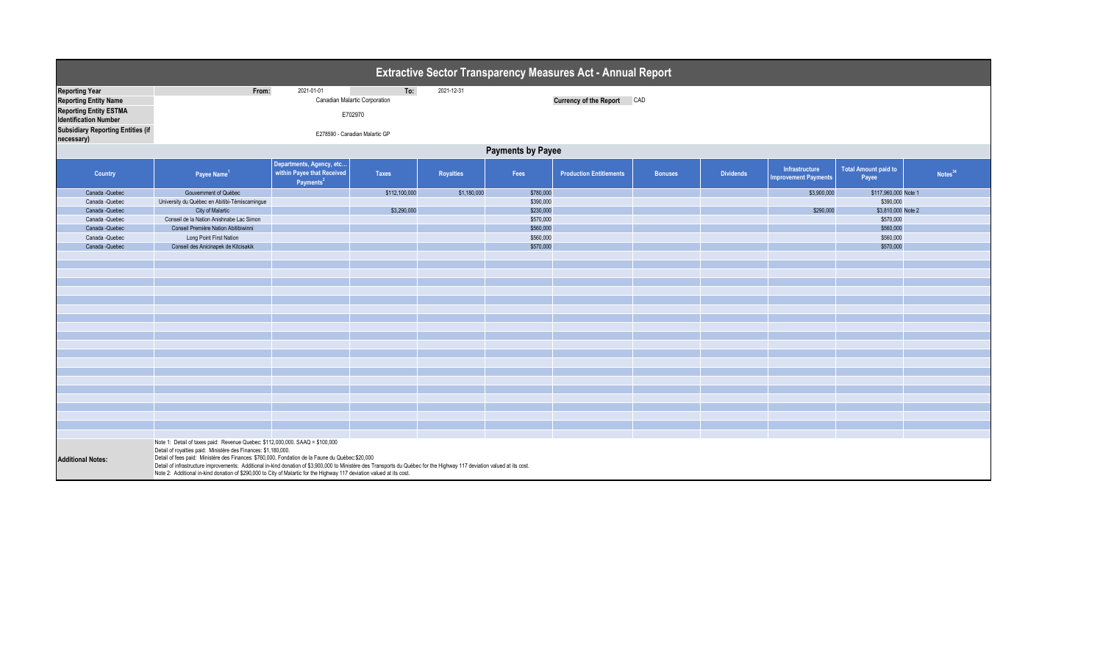| <b>Extractive Sector Transparency Measures Act - Annual Report</b>                                                                                                                                                                                                                                                                                                                                                                                                                                                                                                                     |                                               |                                                                                 |                               |             |           |                                |                |                  |                                               |                               |                     |  |
|----------------------------------------------------------------------------------------------------------------------------------------------------------------------------------------------------------------------------------------------------------------------------------------------------------------------------------------------------------------------------------------------------------------------------------------------------------------------------------------------------------------------------------------------------------------------------------------|-----------------------------------------------|---------------------------------------------------------------------------------|-------------------------------|-------------|-----------|--------------------------------|----------------|------------------|-----------------------------------------------|-------------------------------|---------------------|--|
| <b>Reporting Year</b>                                                                                                                                                                                                                                                                                                                                                                                                                                                                                                                                                                  | From:                                         | 2021-01-01                                                                      | To:                           | 2021-12-31  |           |                                |                |                  |                                               |                               |                     |  |
| <b>Reporting Entity Name</b>                                                                                                                                                                                                                                                                                                                                                                                                                                                                                                                                                           |                                               |                                                                                 | Canadian Malartic Corporation |             |           | Currency of the Report CAD     |                |                  |                                               |                               |                     |  |
| <b>Reporting Entity ESTMA</b>                                                                                                                                                                                                                                                                                                                                                                                                                                                                                                                                                          |                                               |                                                                                 |                               |             |           |                                |                |                  |                                               |                               |                     |  |
| <b>Identification Number</b>                                                                                                                                                                                                                                                                                                                                                                                                                                                                                                                                                           | E702970                                       |                                                                                 |                               |             |           |                                |                |                  |                                               |                               |                     |  |
| <b>Subsidiary Reporting Entities (if</b><br>necessary)                                                                                                                                                                                                                                                                                                                                                                                                                                                                                                                                 | E278590 - Canadian Malartic GP                |                                                                                 |                               |             |           |                                |                |                  |                                               |                               |                     |  |
| <b>Payments by Payee</b>                                                                                                                                                                                                                                                                                                                                                                                                                                                                                                                                                               |                                               |                                                                                 |                               |             |           |                                |                |                  |                                               |                               |                     |  |
| <b>Country</b>                                                                                                                                                                                                                                                                                                                                                                                                                                                                                                                                                                         | Payee Name <sup>1</sup>                       | Departments, Agency, etc<br>within Payee that Received<br>Payments <sup>2</sup> | Taxes                         | Royalties   | Fees      | <b>Production Entitlements</b> | <b>Bonuses</b> | <b>Dividends</b> | Infrastructure<br><b>Improvement Payments</b> | Total Amount paid to<br>Payee | Notes <sup>34</sup> |  |
| Canada - Quebec                                                                                                                                                                                                                                                                                                                                                                                                                                                                                                                                                                        | Gouvernment of Québec                         |                                                                                 | \$112,100,000                 | \$1,180,000 | \$780,000 |                                |                |                  | \$3,900,000                                   | \$117,960,000 Note 1          |                     |  |
| Canada - Quebec                                                                                                                                                                                                                                                                                                                                                                                                                                                                                                                                                                        | University du Québec en Abitibi-Témiscamingue |                                                                                 |                               |             | \$390,000 |                                |                |                  |                                               | \$390,000                     |                     |  |
| Canada - Quebec                                                                                                                                                                                                                                                                                                                                                                                                                                                                                                                                                                        | City of Malartic                              |                                                                                 | \$3,290,000                   |             | \$230,000 |                                |                |                  | \$290,000                                     | \$3,810,000 Note 2            |                     |  |
| Canada - Quebec                                                                                                                                                                                                                                                                                                                                                                                                                                                                                                                                                                        | Conseil de la Nation Anishnabe Lac Simon      |                                                                                 |                               |             | \$570,000 |                                |                |                  |                                               | \$570,000                     |                     |  |
| Canada - Quebec                                                                                                                                                                                                                                                                                                                                                                                                                                                                                                                                                                        | Conseil Première Nation Abitibiwinni          |                                                                                 |                               |             | \$560,000 |                                |                |                  |                                               | \$560,000                     |                     |  |
| Canada - Quebec                                                                                                                                                                                                                                                                                                                                                                                                                                                                                                                                                                        | Long Point First Nation                       |                                                                                 |                               |             | \$560,000 |                                |                |                  |                                               | \$560,000                     |                     |  |
| Canada - Quebec                                                                                                                                                                                                                                                                                                                                                                                                                                                                                                                                                                        | Conseil des Anicinapek de Kitcisakik          |                                                                                 |                               |             | \$570,000 |                                |                |                  |                                               | \$570,000                     |                     |  |
|                                                                                                                                                                                                                                                                                                                                                                                                                                                                                                                                                                                        |                                               |                                                                                 |                               |             |           |                                |                |                  |                                               |                               |                     |  |
|                                                                                                                                                                                                                                                                                                                                                                                                                                                                                                                                                                                        |                                               |                                                                                 |                               |             |           |                                |                |                  |                                               |                               |                     |  |
|                                                                                                                                                                                                                                                                                                                                                                                                                                                                                                                                                                                        |                                               |                                                                                 |                               |             |           |                                |                |                  |                                               |                               |                     |  |
|                                                                                                                                                                                                                                                                                                                                                                                                                                                                                                                                                                                        |                                               |                                                                                 |                               |             |           |                                |                |                  |                                               |                               |                     |  |
|                                                                                                                                                                                                                                                                                                                                                                                                                                                                                                                                                                                        |                                               |                                                                                 |                               |             |           |                                |                |                  |                                               |                               |                     |  |
|                                                                                                                                                                                                                                                                                                                                                                                                                                                                                                                                                                                        |                                               |                                                                                 |                               |             |           |                                |                |                  |                                               |                               |                     |  |
|                                                                                                                                                                                                                                                                                                                                                                                                                                                                                                                                                                                        |                                               |                                                                                 |                               |             |           |                                |                |                  |                                               |                               |                     |  |
|                                                                                                                                                                                                                                                                                                                                                                                                                                                                                                                                                                                        |                                               |                                                                                 |                               |             |           |                                |                |                  |                                               |                               |                     |  |
|                                                                                                                                                                                                                                                                                                                                                                                                                                                                                                                                                                                        |                                               |                                                                                 |                               |             |           |                                |                |                  |                                               |                               |                     |  |
|                                                                                                                                                                                                                                                                                                                                                                                                                                                                                                                                                                                        |                                               |                                                                                 |                               |             |           |                                |                |                  |                                               |                               |                     |  |
|                                                                                                                                                                                                                                                                                                                                                                                                                                                                                                                                                                                        |                                               |                                                                                 |                               |             |           |                                |                |                  |                                               |                               |                     |  |
|                                                                                                                                                                                                                                                                                                                                                                                                                                                                                                                                                                                        |                                               |                                                                                 |                               |             |           |                                |                |                  |                                               |                               |                     |  |
|                                                                                                                                                                                                                                                                                                                                                                                                                                                                                                                                                                                        |                                               |                                                                                 |                               |             |           |                                |                |                  |                                               |                               |                     |  |
|                                                                                                                                                                                                                                                                                                                                                                                                                                                                                                                                                                                        |                                               |                                                                                 |                               |             |           |                                |                |                  |                                               |                               |                     |  |
|                                                                                                                                                                                                                                                                                                                                                                                                                                                                                                                                                                                        |                                               |                                                                                 |                               |             |           |                                |                |                  |                                               |                               |                     |  |
|                                                                                                                                                                                                                                                                                                                                                                                                                                                                                                                                                                                        |                                               |                                                                                 |                               |             |           |                                |                |                  |                                               |                               |                     |  |
|                                                                                                                                                                                                                                                                                                                                                                                                                                                                                                                                                                                        |                                               |                                                                                 |                               |             |           |                                |                |                  |                                               |                               |                     |  |
|                                                                                                                                                                                                                                                                                                                                                                                                                                                                                                                                                                                        |                                               |                                                                                 |                               |             |           |                                |                |                  |                                               |                               |                     |  |
|                                                                                                                                                                                                                                                                                                                                                                                                                                                                                                                                                                                        |                                               |                                                                                 |                               |             |           |                                |                |                  |                                               |                               |                     |  |
|                                                                                                                                                                                                                                                                                                                                                                                                                                                                                                                                                                                        |                                               |                                                                                 |                               |             |           |                                |                |                  |                                               |                               |                     |  |
|                                                                                                                                                                                                                                                                                                                                                                                                                                                                                                                                                                                        |                                               |                                                                                 |                               |             |           |                                |                |                  |                                               |                               |                     |  |
| Note 1: Detail of taxes paid: Revenue Quebec: \$112,000,000. SAAQ = \$100,000<br>Detail of royalties paid: Ministère des Finances: \$1,180,000.<br>Detail of fees paid: Ministère des Finances: \$760,000, Fondation de la Faune du Québec:\$20,000<br><b>Additional Notes:</b><br>Detail of infrastructure improvements: Additional in-kind donation of \$3,900,000 to Ministère des Transports du Québec for the Highway 117 deviation valued at its cost.<br>Note 2: Additional in-kind donation of \$290,000 to City of Malartic for the Highway 117 deviation valued at its cost. |                                               |                                                                                 |                               |             |           |                                |                |                  |                                               |                               |                     |  |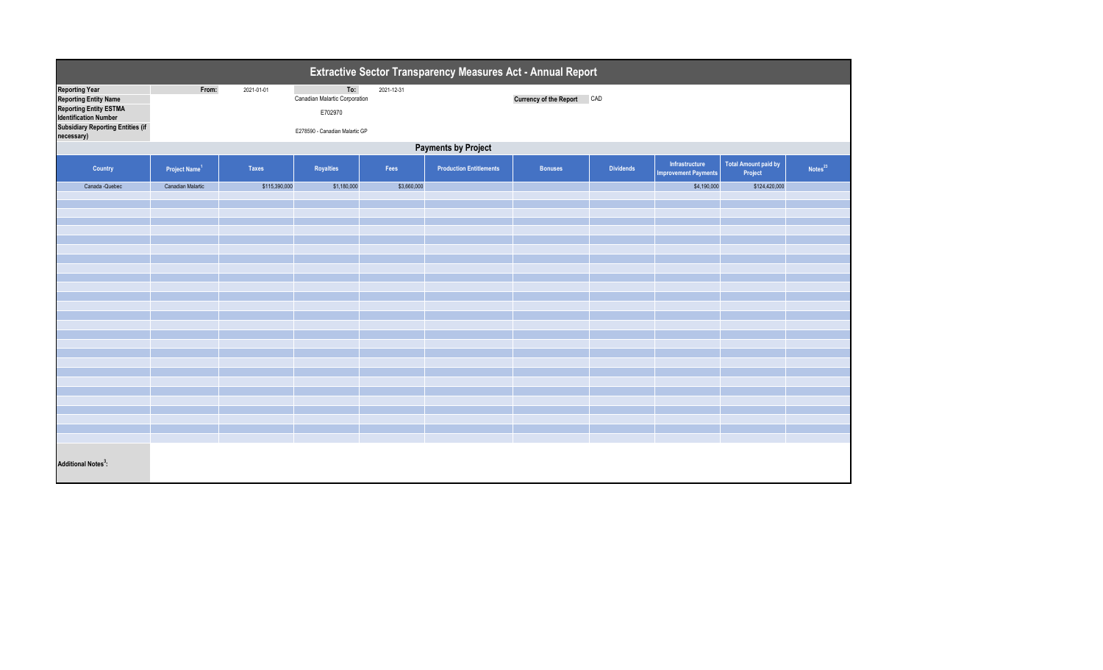| Extractive Sector Transparency Measures Act - Annual Report                                                                                                                      |                                                                                                                        |               |             |             |                                |                            |                  |                                               |                                        |                     |  |  |
|----------------------------------------------------------------------------------------------------------------------------------------------------------------------------------|------------------------------------------------------------------------------------------------------------------------|---------------|-------------|-------------|--------------------------------|----------------------------|------------------|-----------------------------------------------|----------------------------------------|---------------------|--|--|
| <b>Reporting Year</b><br><b>Reporting Entity Name</b><br><b>Reporting Entity ESTMA</b><br><b>Identification Number</b><br><b>Subsidiary Reporting Entities (if</b><br>necessary) | 2021-01-01<br>From:<br>To:<br>2021-12-31<br>Canadian Malartic Corporation<br>E702970<br>E278590 - Canadian Malartic GP |               |             |             |                                | Currency of the Report CAD |                  |                                               |                                        |                     |  |  |
| <b>Payments by Project</b>                                                                                                                                                       |                                                                                                                        |               |             |             |                                |                            |                  |                                               |                                        |                     |  |  |
| Country                                                                                                                                                                          | Project Name <sup>1</sup>                                                                                              | Taxes         | Royalties   | Fees        | <b>Production Entitlements</b> | <b>Bonuses</b>             | <b>Dividends</b> | Infrastructure<br><b>Improvement Payments</b> | <b>Total Amount paid by</b><br>Project | Notes <sup>23</sup> |  |  |
| Canada - Quebec                                                                                                                                                                  | Canadian Malartic                                                                                                      | \$115,390,000 | \$1,180,000 | \$3,660,000 |                                |                            |                  | \$4,190,000                                   | \$124,420,000                          |                     |  |  |
|                                                                                                                                                                                  |                                                                                                                        |               |             |             |                                |                            |                  |                                               |                                        |                     |  |  |
|                                                                                                                                                                                  |                                                                                                                        |               |             |             |                                |                            |                  |                                               |                                        |                     |  |  |
|                                                                                                                                                                                  |                                                                                                                        |               |             |             |                                |                            |                  |                                               |                                        |                     |  |  |
|                                                                                                                                                                                  |                                                                                                                        |               |             |             |                                |                            |                  |                                               |                                        |                     |  |  |
|                                                                                                                                                                                  |                                                                                                                        |               |             |             |                                |                            |                  |                                               |                                        |                     |  |  |
|                                                                                                                                                                                  |                                                                                                                        |               |             |             |                                |                            |                  |                                               |                                        |                     |  |  |
|                                                                                                                                                                                  |                                                                                                                        |               |             |             |                                |                            |                  |                                               |                                        |                     |  |  |
|                                                                                                                                                                                  |                                                                                                                        |               |             |             |                                |                            |                  |                                               |                                        |                     |  |  |
|                                                                                                                                                                                  |                                                                                                                        |               |             |             |                                |                            |                  |                                               |                                        |                     |  |  |
|                                                                                                                                                                                  |                                                                                                                        |               |             |             |                                |                            |                  |                                               |                                        |                     |  |  |
|                                                                                                                                                                                  |                                                                                                                        |               |             |             |                                |                            |                  |                                               |                                        |                     |  |  |
|                                                                                                                                                                                  |                                                                                                                        |               |             |             |                                |                            |                  |                                               |                                        |                     |  |  |
|                                                                                                                                                                                  |                                                                                                                        |               |             |             |                                |                            |                  |                                               |                                        |                     |  |  |
|                                                                                                                                                                                  |                                                                                                                        |               |             |             |                                |                            |                  |                                               |                                        |                     |  |  |
|                                                                                                                                                                                  |                                                                                                                        |               |             |             |                                |                            |                  |                                               |                                        |                     |  |  |
|                                                                                                                                                                                  |                                                                                                                        |               |             |             |                                |                            |                  |                                               |                                        |                     |  |  |
|                                                                                                                                                                                  |                                                                                                                        |               |             |             |                                |                            |                  |                                               |                                        |                     |  |  |
|                                                                                                                                                                                  |                                                                                                                        |               |             |             |                                |                            |                  |                                               |                                        |                     |  |  |
|                                                                                                                                                                                  |                                                                                                                        |               |             |             |                                |                            |                  |                                               |                                        |                     |  |  |
| <b>Additional Notes<sup>3</sup>:</b>                                                                                                                                             |                                                                                                                        |               |             |             |                                |                            |                  |                                               |                                        |                     |  |  |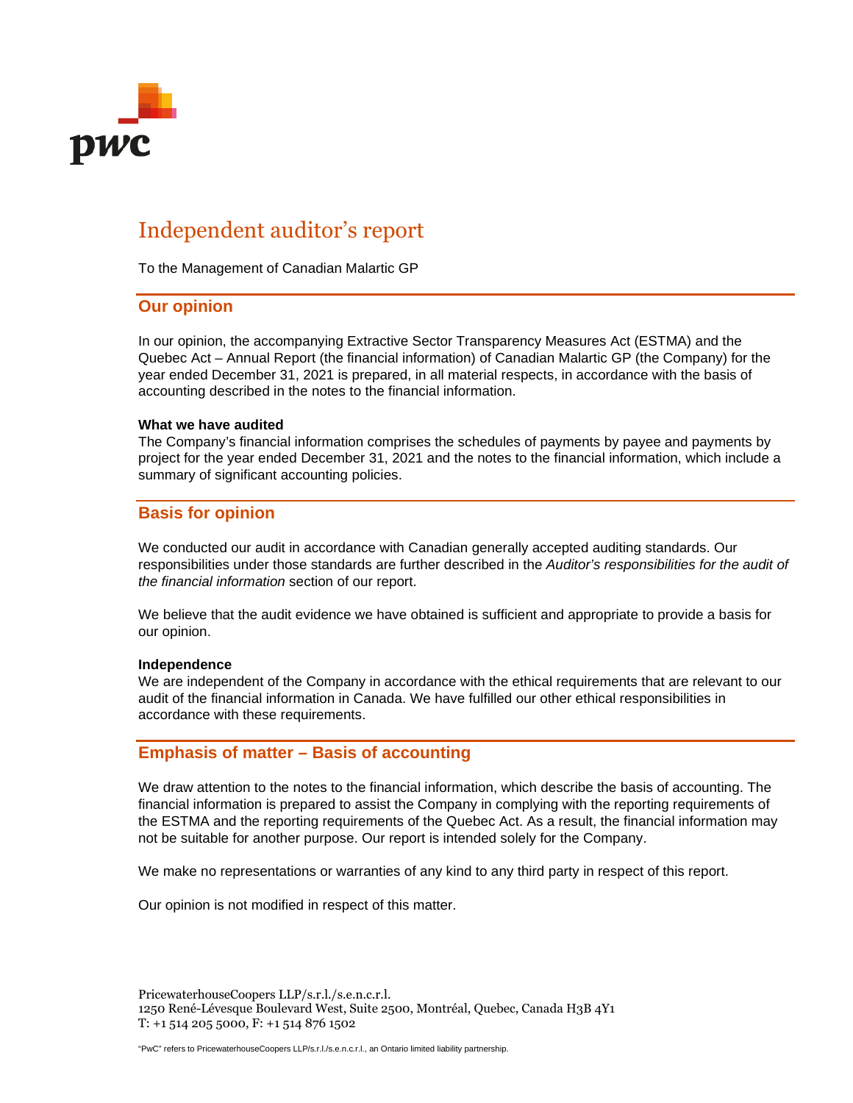

# Independent auditor's report

To the Management of Canadian Malartic GP

# **Our opinion**

In our opinion, the accompanying Extractive Sector Transparency Measures Act (ESTMA) and the Quebec Act – Annual Report (the financial information) of Canadian Malartic GP (the Company) for the year ended December 31, 2021 is prepared, in all material respects, in accordance with the basis of accounting described in the notes to the financial information.

#### **What we have audited**

The Company's financial information comprises the schedules of payments by payee and payments by project for the year ended December 31, 2021 and the notes to the financial information, which include a summary of significant accounting policies.

# **Basis for opinion**

We conducted our audit in accordance with Canadian generally accepted auditing standards. Our responsibilities under those standards are further described in the *Auditor's responsibilities for the audit of the financial information* section of our report.

We believe that the audit evidence we have obtained is sufficient and appropriate to provide a basis for our opinion.

#### **Independence**

We are independent of the Company in accordance with the ethical requirements that are relevant to our audit of the financial information in Canada. We have fulfilled our other ethical responsibilities in accordance with these requirements.

# **Emphasis of matter – Basis of accounting**

We draw attention to the notes to the financial information, which describe the basis of accounting. The financial information is prepared to assist the Company in complying with the reporting requirements of the ESTMA and the reporting requirements of the Quebec Act. As a result, the financial information may not be suitable for another purpose. Our report is intended solely for the Company.

We make no representations or warranties of any kind to any third party in respect of this report.

Our opinion is not modified in respect of this matter.

PricewaterhouseCoopers LLP/s.r.l./s.e.n.c.r.l. 1250 René-Lévesque Boulevard West, Suite 2500, Montréal, Quebec, Canada H3B 4Y1 T: +1 514 205 5000, F: +1 514 876 1502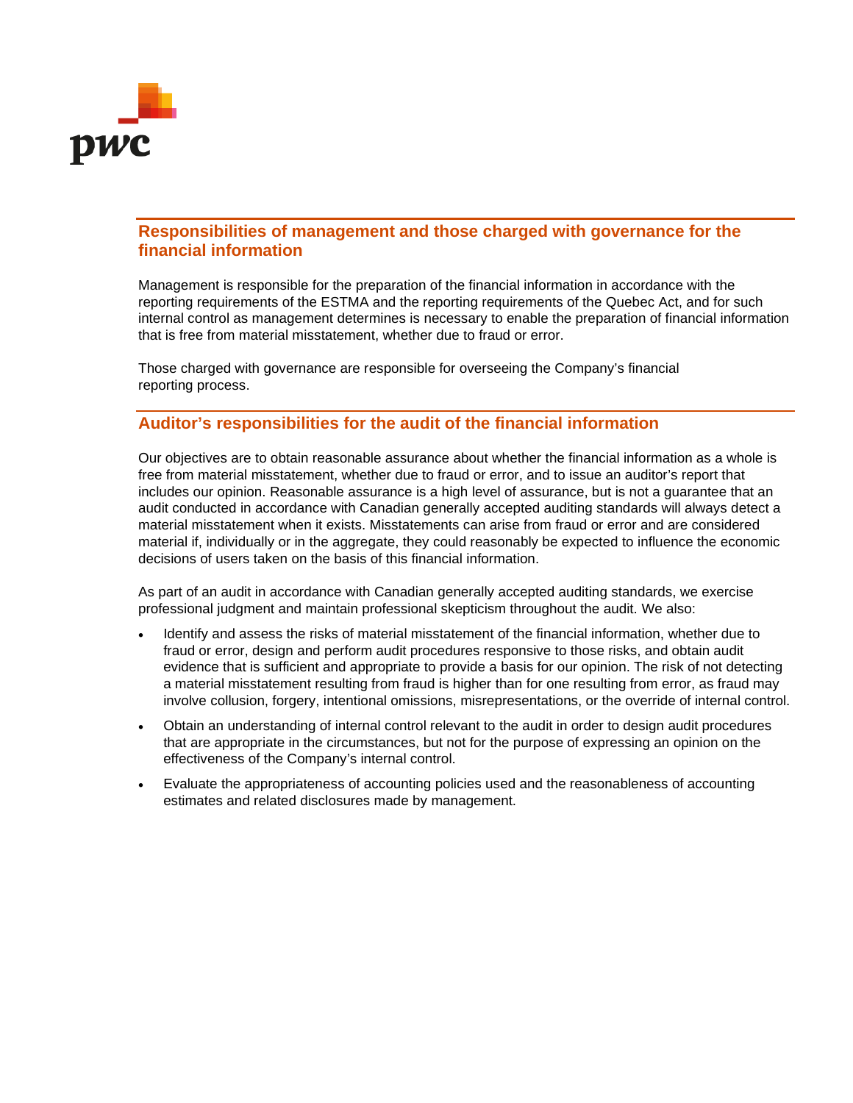

# **Responsibilities of management and those charged with governance for the financial information**

Management is responsible for the preparation of the financial information in accordance with the reporting requirements of the ESTMA and the reporting requirements of the Quebec Act, and for such internal control as management determines is necessary to enable the preparation of financial information that is free from material misstatement, whether due to fraud or error.

Those charged with governance are responsible for overseeing the Company's financial reporting process.

# **Auditor's responsibilities for the audit of the financial information**

Our objectives are to obtain reasonable assurance about whether the financial information as a whole is free from material misstatement, whether due to fraud or error, and to issue an auditor's report that includes our opinion. Reasonable assurance is a high level of assurance, but is not a guarantee that an audit conducted in accordance with Canadian generally accepted auditing standards will always detect a material misstatement when it exists. Misstatements can arise from fraud or error and are considered material if, individually or in the aggregate, they could reasonably be expected to influence the economic decisions of users taken on the basis of this financial information.

As part of an audit in accordance with Canadian generally accepted auditing standards, we exercise professional judgment and maintain professional skepticism throughout the audit. We also:

- Identify and assess the risks of material misstatement of the financial information, whether due to fraud or error, design and perform audit procedures responsive to those risks, and obtain audit evidence that is sufficient and appropriate to provide a basis for our opinion. The risk of not detecting a material misstatement resulting from fraud is higher than for one resulting from error, as fraud may involve collusion, forgery, intentional omissions, misrepresentations, or the override of internal control.
- Obtain an understanding of internal control relevant to the audit in order to design audit procedures that are appropriate in the circumstances, but not for the purpose of expressing an opinion on the effectiveness of the Company's internal control.
- Evaluate the appropriateness of accounting policies used and the reasonableness of accounting estimates and related disclosures made by management.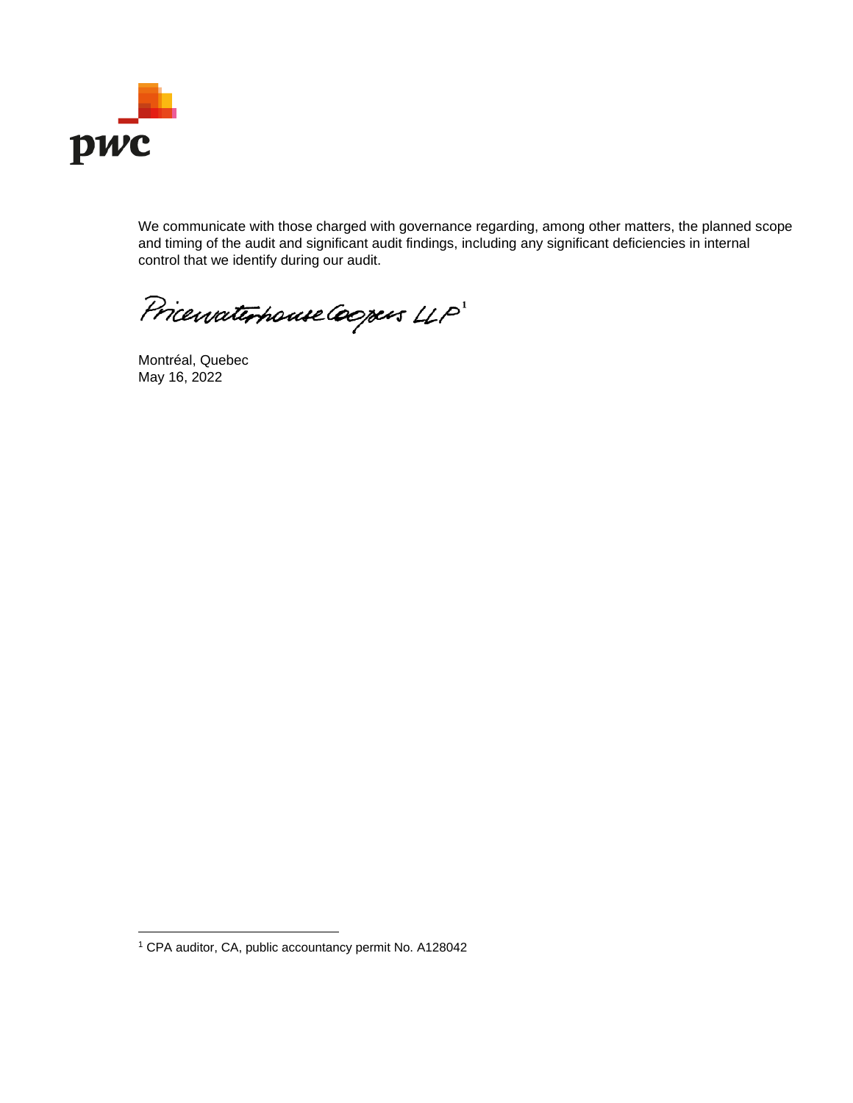

We communicate with those charged with governance regarding, among other matters, the planned scope and timing of the audit and significant audit findings, including any significant deficiencies in internal control that we identify during our audit.

Pricewaterhouse Coopers LLP

Montréal, Quebec May 16, 2022

<sup>1</sup> CPA auditor, CA, public accountancy permit No. A128042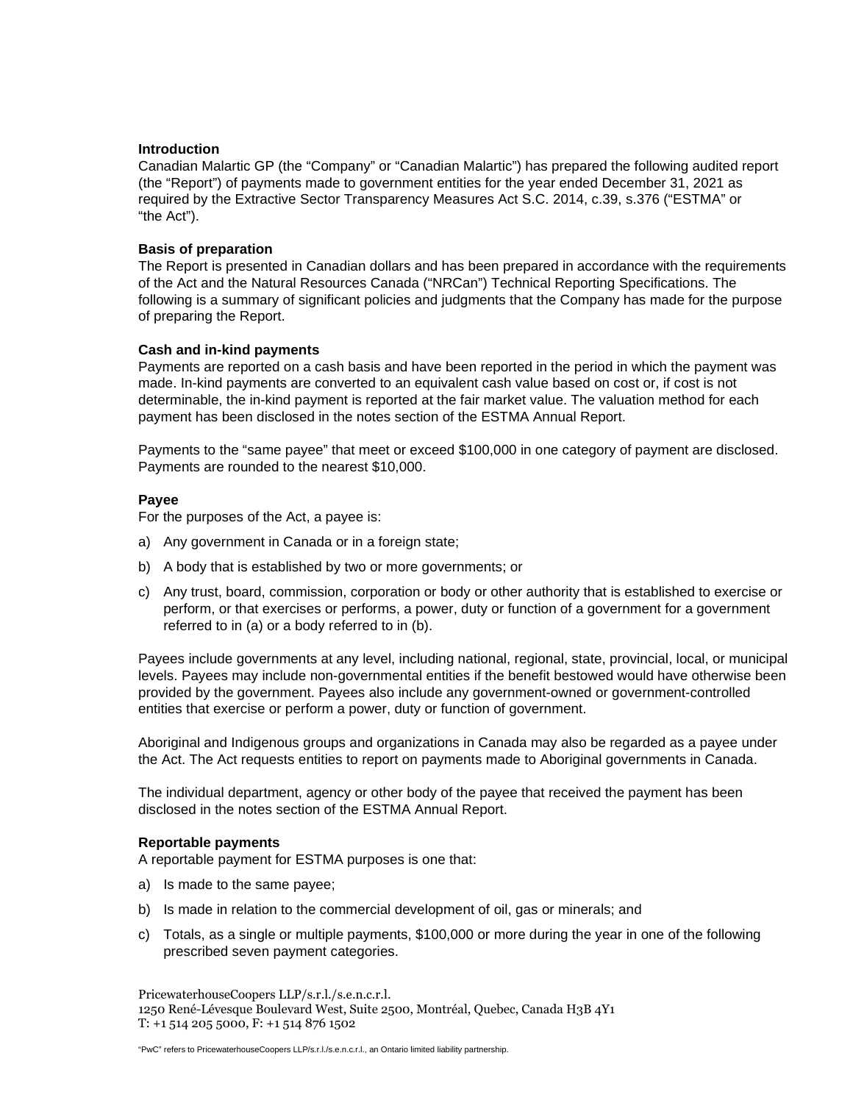#### **Introduction**

Canadian Malartic GP (the "Company" or "Canadian Malartic") has prepared the following audited report (the "Report") of payments made to government entities for the year ended December 31, 2021 as required by the Extractive Sector Transparency Measures Act S.C. 2014, c.39, s.376 ("ESTMA" or "the Act").

#### **Basis of preparation**

The Report is presented in Canadian dollars and has been prepared in accordance with the requirements of the Act and the Natural Resources Canada ("NRCan") Technical Reporting Specifications. The following is a summary of significant policies and judgments that the Company has made for the purpose of preparing the Report.

#### **Cash and in-kind payments**

Payments are reported on a cash basis and have been reported in the period in which the payment was made. In-kind payments are converted to an equivalent cash value based on cost or, if cost is not determinable, the in-kind payment is reported at the fair market value. The valuation method for each payment has been disclosed in the notes section of the ESTMA Annual Report.

Payments to the "same payee" that meet or exceed \$100,000 in one category of payment are disclosed. Payments are rounded to the nearest \$10,000.

#### **Payee**

For the purposes of the Act, a payee is:

- a) Any government in Canada or in a foreign state;
- b) A body that is established by two or more governments; or
- c) Any trust, board, commission, corporation or body or other authority that is established to exercise or perform, or that exercises or performs, a power, duty or function of a government for a government referred to in (a) or a body referred to in (b).

Payees include governments at any level, including national, regional, state, provincial, local, or municipal levels. Payees may include non-governmental entities if the benefit bestowed would have otherwise been provided by the government. Payees also include any government-owned or government-controlled entities that exercise or perform a power, duty or function of government.

Aboriginal and Indigenous groups and organizations in Canada may also be regarded as a payee under the Act. The Act requests entities to report on payments made to Aboriginal governments in Canada.

The individual department, agency or other body of the payee that received the payment has been disclosed in the notes section of the ESTMA Annual Report.

#### **Reportable payments**

A reportable payment for ESTMA purposes is one that:

- a) Is made to the same payee;
- b) Is made in relation to the commercial development of oil, gas or minerals; and
- c) Totals, as a single or multiple payments, \$100,000 or more during the year in one of the following prescribed seven payment categories.

PricewaterhouseCoopers LLP/s.r.l./s.e.n.c.r.l. 1250 René-Lévesque Boulevard West, Suite 2500, Montréal, Quebec, Canada H3B 4Y1 T: +1 514 205 5000, F: +1 514 876 1502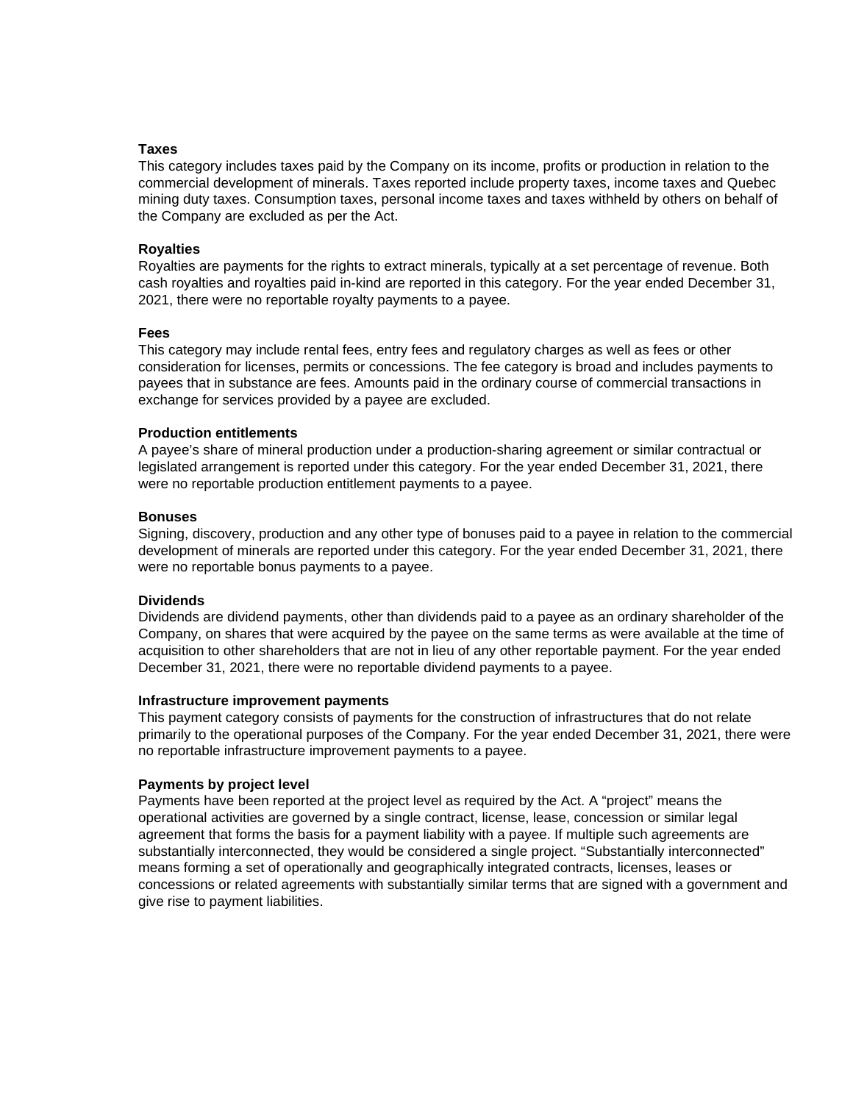#### **Taxes**

This category includes taxes paid by the Company on its income, profits or production in relation to the commercial development of minerals. Taxes reported include property taxes, income taxes and Quebec mining duty taxes. Consumption taxes, personal income taxes and taxes withheld by others on behalf of the Company are excluded as per the Act.

#### **Royalties**

Royalties are payments for the rights to extract minerals, typically at a set percentage of revenue. Both cash royalties and royalties paid in-kind are reported in this category. For the year ended December 31, 2021, there were no reportable royalty payments to a payee.

#### **Fees**

This category may include rental fees, entry fees and regulatory charges as well as fees or other consideration for licenses, permits or concessions. The fee category is broad and includes payments to payees that in substance are fees. Amounts paid in the ordinary course of commercial transactions in exchange for services provided by a payee are excluded.

## **Production entitlements**

A payee's share of mineral production under a production-sharing agreement or similar contractual or legislated arrangement is reported under this category. For the year ended December 31, 2021, there were no reportable production entitlement payments to a payee.

#### **Bonuses**

Signing, discovery, production and any other type of bonuses paid to a payee in relation to the commercial development of minerals are reported under this category. For the year ended December 31, 2021, there were no reportable bonus payments to a payee.

#### **Dividends**

Dividends are dividend payments, other than dividends paid to a payee as an ordinary shareholder of the Company, on shares that were acquired by the payee on the same terms as were available at the time of acquisition to other shareholders that are not in lieu of any other reportable payment. For the year ended December 31, 2021, there were no reportable dividend payments to a payee.

#### **Infrastructure improvement payments**

This payment category consists of payments for the construction of infrastructures that do not relate primarily to the operational purposes of the Company. For the year ended December 31, 2021, there were no reportable infrastructure improvement payments to a payee.

#### **Payments by project level**

Payments have been reported at the project level as required by the Act. A "project" means the operational activities are governed by a single contract, license, lease, concession or similar legal agreement that forms the basis for a payment liability with a payee. If multiple such agreements are substantially interconnected, they would be considered a single project. "Substantially interconnected" means forming a set of operationally and geographically integrated contracts, licenses, leases or concessions or related agreements with substantially similar terms that are signed with a government and give rise to payment liabilities.